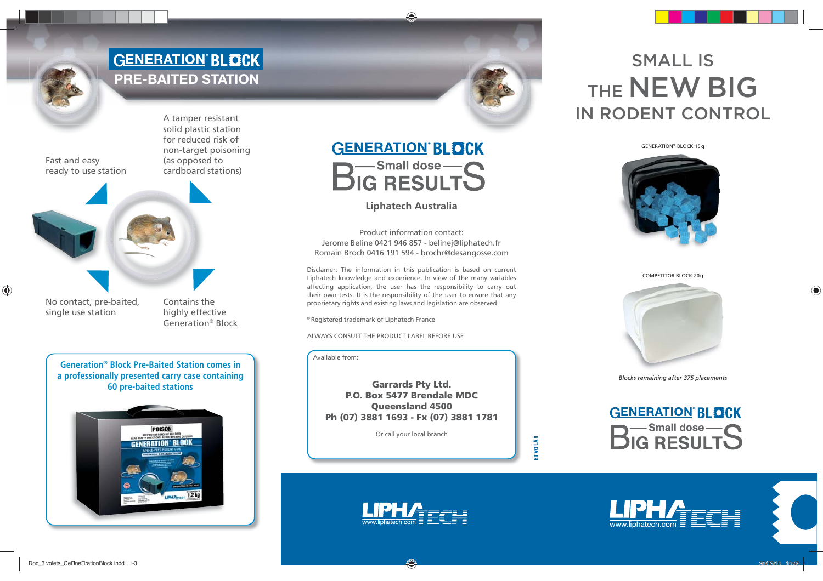## **GENERATION BLOCK** PRE-BAITED STATION



A tamper resistant solid plastic station for reduced risk of non-target poisoning (as opposed to cardboard stations)



No contact, pre-baited, single use station

Contains the highly effective Generation® Block

**Generation® Block Pre-Baited Station comes in a professionally presented carry case containing 60 pre-baited stations**



### **GENERATION BLOCK**

**B**<sup>Small dose-S</sup>

### **Liphatech Australia**

Product information contact:Jerome Beline 0421 946 857 - belinej@liphatech.fr Romain Broch 0416 191 594 - brochr@desangosse.com

Disclamer: The information in this publication is based on current Liphatech knowledge and experience. In view of the many variables affecting application, the user has the responsibility to carry out their own tests. It is the responsibility of the user to ensure that any proprietary rights and existing laws and legislation are observed

® Registered trademark of Liphatech France

ALWAYS CONSULT THE PRODUCT LABEL BEFORE USE

Available from:

**Garrards Pty Ltd. P.O. Box 5477 Brendale MDCQueensland 4500 Ph (07) 3881 1693 - Fx (07) 3881 1781**

Or call your local branch

**ET VOILÀ!!** 

# SMALL IS THE **NEW BIG** IN RODENT CONTROL

GENERATION® BLOCK 15 g



COMPETITOR BLOCK 20 g



*Blocks remaining after 375 placements*